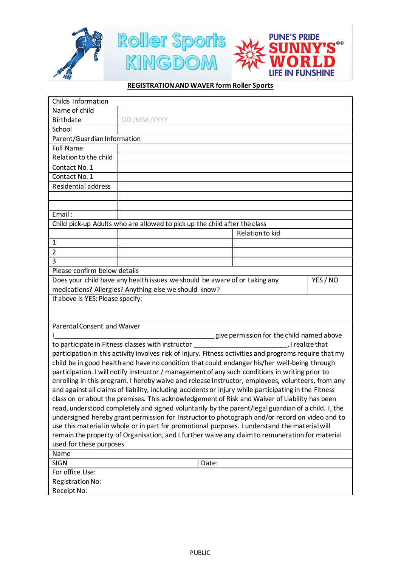

## **REGISTRATION AND WAVER form Roller Sports**

| Childs Information                                                                                      |                 |  |  |
|---------------------------------------------------------------------------------------------------------|-----------------|--|--|
| Name of child                                                                                           |                 |  |  |
| <b>Birthdate</b>                                                                                        | DD /MM /YYYY    |  |  |
| School                                                                                                  |                 |  |  |
| Parent/Guardian Information                                                                             |                 |  |  |
| <b>Full Name</b>                                                                                        |                 |  |  |
| Relation to the child                                                                                   |                 |  |  |
| Contact No. 1                                                                                           |                 |  |  |
| Contact No. 1                                                                                           |                 |  |  |
| <b>Residential address</b>                                                                              |                 |  |  |
|                                                                                                         |                 |  |  |
|                                                                                                         |                 |  |  |
| Email:                                                                                                  |                 |  |  |
| Child pick-up Adults who are allowed to pick up the child after the class                               |                 |  |  |
|                                                                                                         | Relation to kid |  |  |
| $\mathbf{1}$                                                                                            |                 |  |  |
| $\overline{2}$                                                                                          |                 |  |  |
| 3                                                                                                       |                 |  |  |
| Please confirm below details                                                                            |                 |  |  |
| Does your child have any health issues we should be aware of or taking any<br>YES / NO                  |                 |  |  |
| medications? Allergies? Anything else we should know?                                                   |                 |  |  |
| If above is YES: Please specify:                                                                        |                 |  |  |
|                                                                                                         |                 |  |  |
|                                                                                                         |                 |  |  |
| <b>Parental Consent and Waiver</b>                                                                      |                 |  |  |
| give permission for the child named above                                                               |                 |  |  |
| to participate in Fitness classes with instructor<br>. I realize that                                   |                 |  |  |
| participation in this activity involves risk of injury. Fitness activities and programs require that my |                 |  |  |
| child be in good health and have no condition that could endanger his/her well-being through            |                 |  |  |
| participation. I will notify instructor / management of any such conditions in writing prior to         |                 |  |  |
| enrolling in this program. I hereby waive and release Instructor, employees, volunteers, from any       |                 |  |  |
| and against all claims of liability, including accidents or injury while participating in the Fitness   |                 |  |  |
| class on or about the premises. This acknowledgement of Risk and Waiver of Liability has been           |                 |  |  |
| read, understood completely and signed voluntarily by the parent/legal guardian of a child. I, the      |                 |  |  |
| undersigned hereby grant permission for Instructor to photograph and/or record on video and to          |                 |  |  |
| use this material in whole or in part for promotional purposes. I understand the material will          |                 |  |  |
| remain the property of Organisation, and I further waive any claim to remuneration for material         |                 |  |  |
| used for these purposes<br>Name                                                                         |                 |  |  |
| <b>SIGN</b>                                                                                             |                 |  |  |
| Date:                                                                                                   |                 |  |  |
| For office Use:                                                                                         |                 |  |  |
| Registration No:                                                                                        |                 |  |  |
| Receipt No:                                                                                             |                 |  |  |